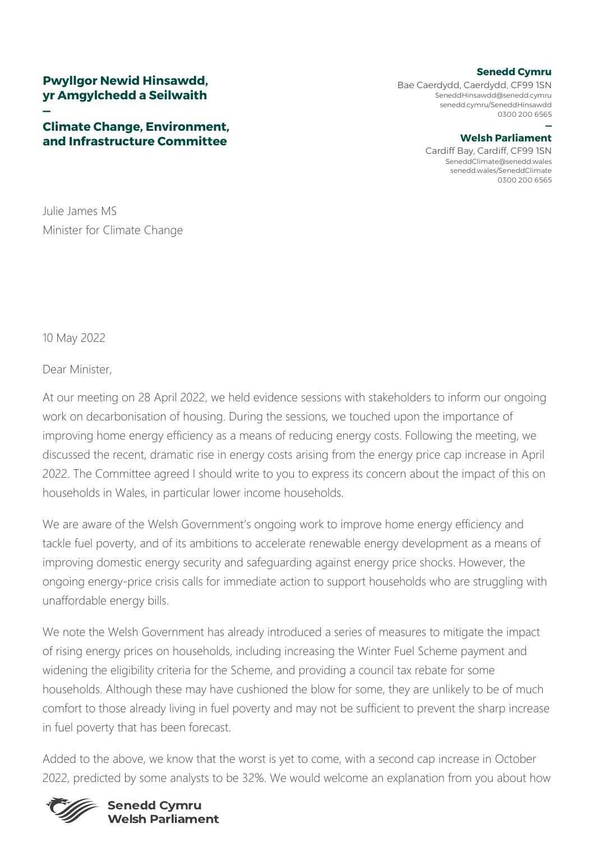# **Pwyllgor Newid Hinsawdd, yr Amgylchedd a Seilwaith**

### **— Climate Change, Environment, and Infrastructure Committee**

### **Senedd Cymru**

Bae Caerdydd, Caerdydd, CF99 1SN [SeneddHinsawdd@senedd.cymru](mailto:SeneddHinsawdd@senedd.cymru) senedd.cymru/SeneddHinsawdd 0300 200 6565

#### **— Welsh Parliament**

Cardiff Bay, Cardiff, CF99 1SN [SeneddClimate@senedd.wales](mailto:SeneddClimate@senedd.wales) senedd.wales/SeneddClimate 0300 200 6565

Julie James MS Minister for Climate Change

10 May 2022

## Dear Minister,

At our meeting on 28 April 2022, we held evidence sessions with stakeholders to inform our ongoing work on decarbonisation of housing. During the sessions, we touched upon the importance of improving home energy efficiency as a means of reducing energy costs. Following the meeting, we discussed the recent, dramatic rise in energy costs arising from the energy price cap increase in April 2022. The Committee agreed I should write to you to express its concern about the impact of this on households in Wales, in particular lower income households.

We are aware of the Welsh Government's ongoing work to improve home energy efficiency and tackle fuel poverty, and of its ambitions to accelerate renewable energy development as a means of improving domestic energy security and safeguarding against energy price shocks. However, the ongoing energy-price crisis calls for immediate action to support households who are struggling with unaffordable energy bills.

We note the Welsh Government has already introduced a series of measures to mitigate the impact of rising energy prices on households, including increasing the Winter Fuel Scheme payment and widening the eligibility criteria for the Scheme, and providing a council tax rebate for some households. Although these may have cushioned the blow for some, they are unlikely to be of much comfort to those already living in fuel poverty and may not be sufficient to prevent the sharp increase in fuel poverty that has been forecast.

Added to the above, we know that the worst is yet to come, with a second cap increase in October 2022, predicted by some analysts to be 32%. We would welcome an explanation from you about how



## **Senedd Cymru Welsh Parliament**